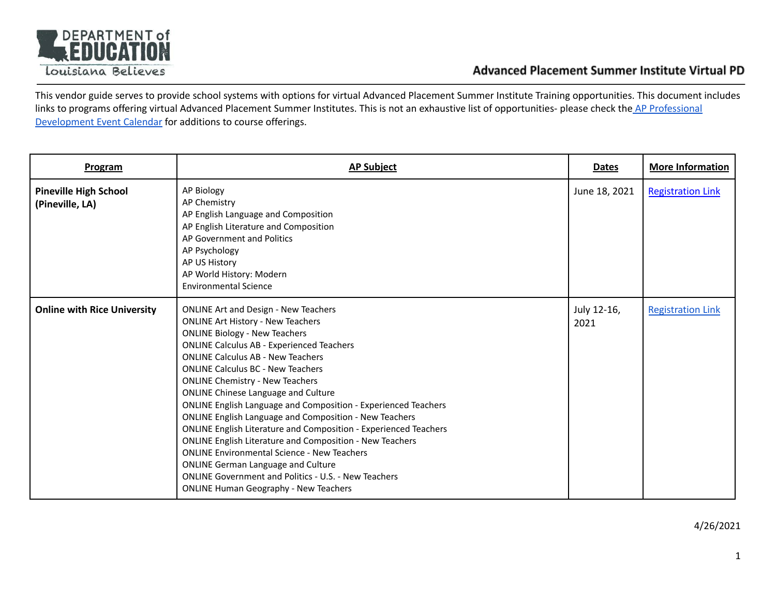

This vendor guide serves to provide school systems with options for virtual Advanced Placement Summer Institute Training opportunities. This document includes links to programs offering virtual Advanced Placement Summer Institutes. This is not an exhaustive list of opportunities- please check the AP [Professional](https://eventreg.collegeboard.org/c/calendar/54ae034d-96ef-4609-8458-c7c7a76ad3b9) [Development](https://eventreg.collegeboard.org/c/calendar/54ae034d-96ef-4609-8458-c7c7a76ad3b9) Event Calendar for additions to course offerings.

| Program                                         | <b>AP Subject</b>                                                                                                                                                                                                                                                                                                                                                                                                                                                                                                                                                                                                                                                                                                                                                                                                                                                             | <b>Dates</b>        | <b>More Information</b>  |
|-------------------------------------------------|-------------------------------------------------------------------------------------------------------------------------------------------------------------------------------------------------------------------------------------------------------------------------------------------------------------------------------------------------------------------------------------------------------------------------------------------------------------------------------------------------------------------------------------------------------------------------------------------------------------------------------------------------------------------------------------------------------------------------------------------------------------------------------------------------------------------------------------------------------------------------------|---------------------|--------------------------|
| <b>Pineville High School</b><br>(Pineville, LA) | <b>AP Biology</b><br>AP Chemistry<br>AP English Language and Composition<br>AP English Literature and Composition<br>AP Government and Politics<br>AP Psychology<br>AP US History<br>AP World History: Modern<br><b>Environmental Science</b>                                                                                                                                                                                                                                                                                                                                                                                                                                                                                                                                                                                                                                 | June 18, 2021       | <b>Registration Link</b> |
| <b>Online with Rice University</b>              | <b>ONLINE Art and Design - New Teachers</b><br><b>ONLINE Art History - New Teachers</b><br><b>ONLINE Biology - New Teachers</b><br><b>ONLINE Calculus AB - Experienced Teachers</b><br><b>ONLINE Calculus AB - New Teachers</b><br><b>ONLINE Calculus BC - New Teachers</b><br><b>ONLINE Chemistry - New Teachers</b><br><b>ONLINE Chinese Language and Culture</b><br><b>ONLINE English Language and Composition - Experienced Teachers</b><br><b>ONLINE English Language and Composition - New Teachers</b><br><b>ONLINE English Literature and Composition - Experienced Teachers</b><br><b>ONLINE English Literature and Composition - New Teachers</b><br><b>ONLINE Environmental Science - New Teachers</b><br><b>ONLINE German Language and Culture</b><br><b>ONLINE Government and Politics - U.S. - New Teachers</b><br><b>ONLINE Human Geography - New Teachers</b> | July 12-16,<br>2021 | <b>Registration Link</b> |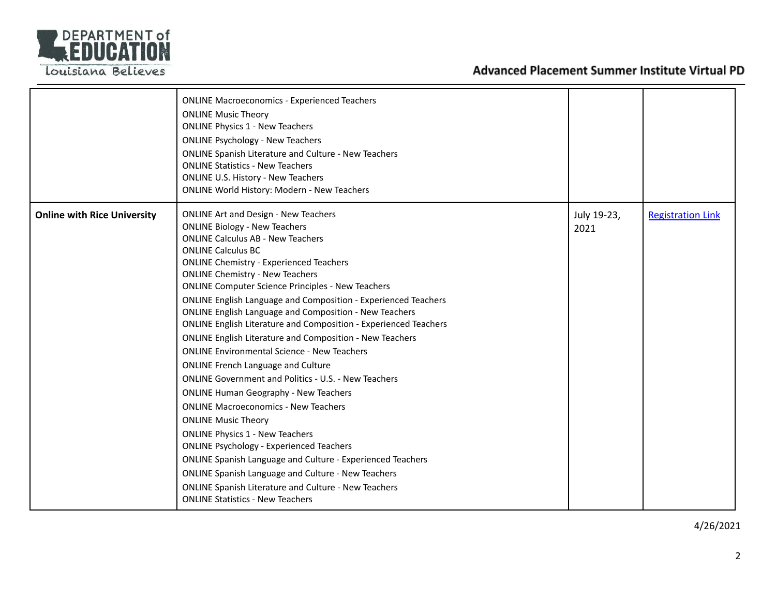

|                                    | <b>ONLINE Macroeconomics - Experienced Teachers</b><br><b>ONLINE Music Theory</b><br><b>ONLINE Physics 1 - New Teachers</b><br><b>ONLINE Psychology - New Teachers</b><br><b>ONLINE Spanish Literature and Culture - New Teachers</b><br><b>ONLINE Statistics - New Teachers</b><br><b>ONLINE U.S. History - New Teachers</b><br><b>ONLINE World History: Modern - New Teachers</b>                                                                                                                                                                                                                                                                                                                                                                                                                                                                                                                                                                                                                                                                                                                                                                                                                                                                  |                     |                          |
|------------------------------------|------------------------------------------------------------------------------------------------------------------------------------------------------------------------------------------------------------------------------------------------------------------------------------------------------------------------------------------------------------------------------------------------------------------------------------------------------------------------------------------------------------------------------------------------------------------------------------------------------------------------------------------------------------------------------------------------------------------------------------------------------------------------------------------------------------------------------------------------------------------------------------------------------------------------------------------------------------------------------------------------------------------------------------------------------------------------------------------------------------------------------------------------------------------------------------------------------------------------------------------------------|---------------------|--------------------------|
| <b>Online with Rice University</b> | <b>ONLINE Art and Design - New Teachers</b><br><b>ONLINE Biology - New Teachers</b><br><b>ONLINE Calculus AB - New Teachers</b><br><b>ONLINE Calculus BC</b><br><b>ONLINE Chemistry - Experienced Teachers</b><br><b>ONLINE Chemistry - New Teachers</b><br><b>ONLINE Computer Science Principles - New Teachers</b><br><b>ONLINE English Language and Composition - Experienced Teachers</b><br><b>ONLINE English Language and Composition - New Teachers</b><br><b>ONLINE English Literature and Composition - Experienced Teachers</b><br><b>ONLINE English Literature and Composition - New Teachers</b><br><b>ONLINE Environmental Science - New Teachers</b><br><b>ONLINE French Language and Culture</b><br><b>ONLINE Government and Politics - U.S. - New Teachers</b><br><b>ONLINE Human Geography - New Teachers</b><br><b>ONLINE Macroeconomics - New Teachers</b><br><b>ONLINE Music Theory</b><br><b>ONLINE Physics 1 - New Teachers</b><br><b>ONLINE Psychology - Experienced Teachers</b><br><b>ONLINE Spanish Language and Culture - Experienced Teachers</b><br><b>ONLINE Spanish Language and Culture - New Teachers</b><br><b>ONLINE Spanish Literature and Culture - New Teachers</b><br><b>ONLINE Statistics - New Teachers</b> | July 19-23,<br>2021 | <b>Registration Link</b> |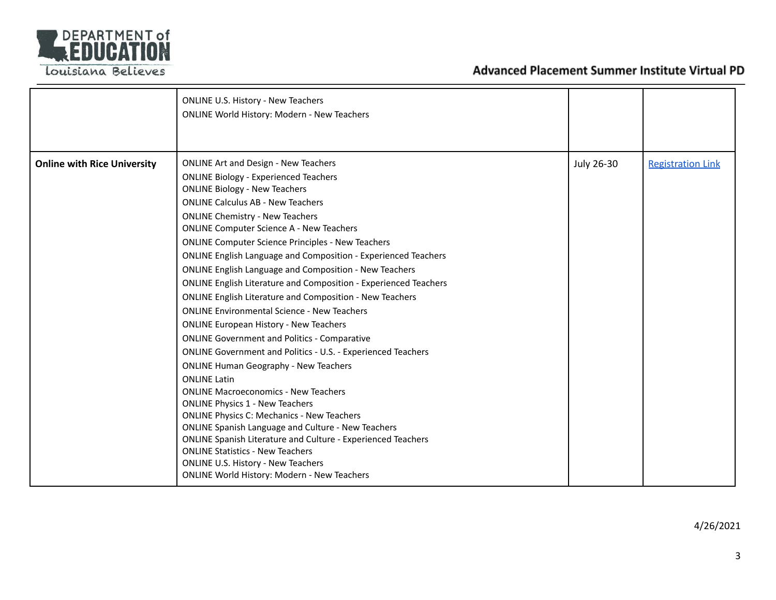

|                                    | <b>ONLINE U.S. History - New Teachers</b><br><b>ONLINE World History: Modern - New Teachers</b>                                                                                                                                                                                                                                                                                                                                                                                                                                                                                                                                                                                                                                                                                                                                                                                                                                                                                                                                                                                                                                                                                                                                                                                                                                                                              |            |                          |
|------------------------------------|------------------------------------------------------------------------------------------------------------------------------------------------------------------------------------------------------------------------------------------------------------------------------------------------------------------------------------------------------------------------------------------------------------------------------------------------------------------------------------------------------------------------------------------------------------------------------------------------------------------------------------------------------------------------------------------------------------------------------------------------------------------------------------------------------------------------------------------------------------------------------------------------------------------------------------------------------------------------------------------------------------------------------------------------------------------------------------------------------------------------------------------------------------------------------------------------------------------------------------------------------------------------------------------------------------------------------------------------------------------------------|------------|--------------------------|
| <b>Online with Rice University</b> | <b>ONLINE Art and Design - New Teachers</b><br><b>ONLINE Biology - Experienced Teachers</b><br><b>ONLINE Biology - New Teachers</b><br><b>ONLINE Calculus AB - New Teachers</b><br><b>ONLINE Chemistry - New Teachers</b><br><b>ONLINE Computer Science A - New Teachers</b><br><b>ONLINE Computer Science Principles - New Teachers</b><br><b>ONLINE English Language and Composition - Experienced Teachers</b><br><b>ONLINE English Language and Composition - New Teachers</b><br><b>ONLINE English Literature and Composition - Experienced Teachers</b><br><b>ONLINE English Literature and Composition - New Teachers</b><br><b>ONLINE Environmental Science - New Teachers</b><br><b>ONLINE European History - New Teachers</b><br><b>ONLINE Government and Politics - Comparative</b><br><b>ONLINE Government and Politics - U.S. - Experienced Teachers</b><br><b>ONLINE Human Geography - New Teachers</b><br><b>ONLINE Latin</b><br><b>ONLINE Macroeconomics - New Teachers</b><br><b>ONLINE Physics 1 - New Teachers</b><br><b>ONLINE Physics C: Mechanics - New Teachers</b><br><b>ONLINE Spanish Language and Culture - New Teachers</b><br><b>ONLINE Spanish Literature and Culture - Experienced Teachers</b><br><b>ONLINE Statistics - New Teachers</b><br><b>ONLINE U.S. History - New Teachers</b><br><b>ONLINE World History: Modern - New Teachers</b> | July 26-30 | <b>Registration Link</b> |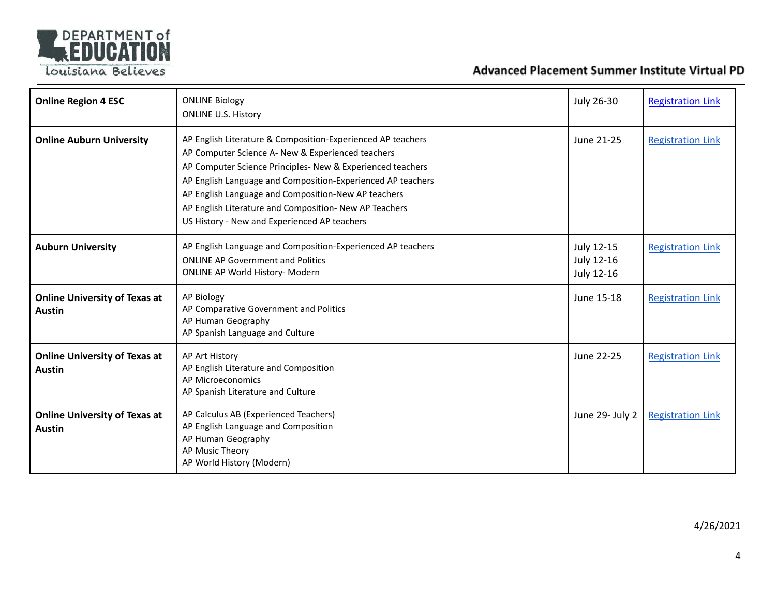

| <b>Online Region 4 ESC</b>                            | <b>ONLINE Biology</b><br><b>ONLINE U.S. History</b>                                                                                                                                                                                                                                                                                                                                                            | July 26-30                             | <b>Registration Link</b> |
|-------------------------------------------------------|----------------------------------------------------------------------------------------------------------------------------------------------------------------------------------------------------------------------------------------------------------------------------------------------------------------------------------------------------------------------------------------------------------------|----------------------------------------|--------------------------|
| <b>Online Auburn University</b>                       | AP English Literature & Composition-Experienced AP teachers<br>AP Computer Science A- New & Experienced teachers<br>AP Computer Science Principles- New & Experienced teachers<br>AP English Language and Composition-Experienced AP teachers<br>AP English Language and Composition-New AP teachers<br>AP English Literature and Composition- New AP Teachers<br>US History - New and Experienced AP teachers | June 21-25                             | <b>Registration Link</b> |
| <b>Auburn University</b>                              | AP English Language and Composition-Experienced AP teachers<br><b>ONLINE AP Government and Politics</b><br>ONLINE AP World History- Modern                                                                                                                                                                                                                                                                     | July 12-15<br>July 12-16<br>July 12-16 | <b>Registration Link</b> |
| <b>Online University of Texas at</b><br><b>Austin</b> | AP Biology<br>AP Comparative Government and Politics<br>AP Human Geography<br>AP Spanish Language and Culture                                                                                                                                                                                                                                                                                                  | June 15-18                             | <b>Registration Link</b> |
| <b>Online University of Texas at</b><br><b>Austin</b> | AP Art History<br>AP English Literature and Composition<br>AP Microeconomics<br>AP Spanish Literature and Culture                                                                                                                                                                                                                                                                                              | June 22-25                             | <b>Registration Link</b> |
| <b>Online University of Texas at</b><br><b>Austin</b> | AP Calculus AB (Experienced Teachers)<br>AP English Language and Composition<br>AP Human Geography<br>AP Music Theory<br>AP World History (Modern)                                                                                                                                                                                                                                                             | June 29- July 2                        | <b>Registration Link</b> |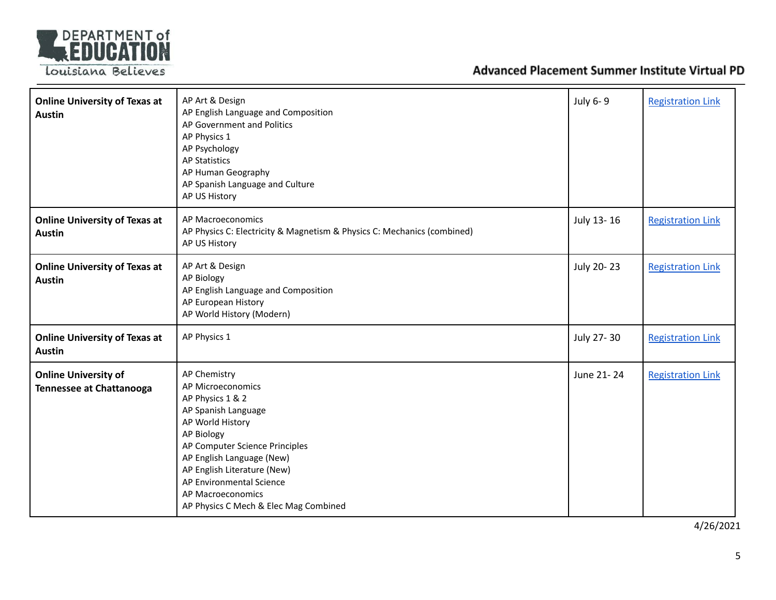

| <b>Online University of Texas at</b><br><b>Austin</b>          | AP Art & Design<br>AP English Language and Composition<br>AP Government and Politics<br>AP Physics 1<br>AP Psychology<br><b>AP Statistics</b><br>AP Human Geography<br>AP Spanish Language and Culture<br>AP US History                                                                                | July 6-9   | <b>Registration Link</b> |
|----------------------------------------------------------------|--------------------------------------------------------------------------------------------------------------------------------------------------------------------------------------------------------------------------------------------------------------------------------------------------------|------------|--------------------------|
| <b>Online University of Texas at</b><br><b>Austin</b>          | AP Macroeconomics<br>AP Physics C: Electricity & Magnetism & Physics C: Mechanics (combined)<br>AP US History                                                                                                                                                                                          | July 13-16 | <b>Registration Link</b> |
| <b>Online University of Texas at</b><br><b>Austin</b>          | AP Art & Design<br>AP Biology<br>AP English Language and Composition<br>AP European History<br>AP World History (Modern)                                                                                                                                                                               | July 20-23 | <b>Registration Link</b> |
| <b>Online University of Texas at</b><br><b>Austin</b>          | AP Physics 1                                                                                                                                                                                                                                                                                           | July 27-30 | <b>Registration Link</b> |
| <b>Online University of</b><br><b>Tennessee at Chattanooga</b> | AP Chemistry<br>AP Microeconomics<br>AP Physics 1 & 2<br>AP Spanish Language<br>AP World History<br>AP Biology<br>AP Computer Science Principles<br>AP English Language (New)<br>AP English Literature (New)<br>AP Environmental Science<br>AP Macroeconomics<br>AP Physics C Mech & Elec Mag Combined | June 21-24 | <b>Registration Link</b> |

4/26/2021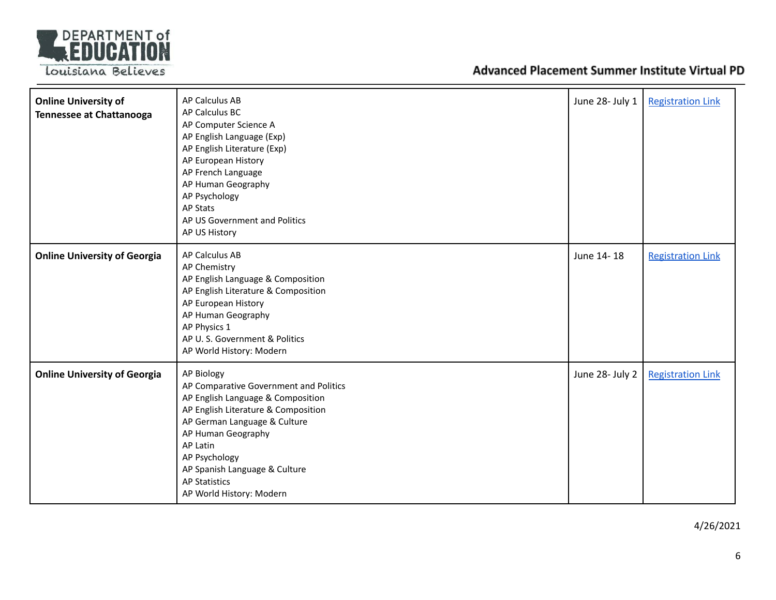

| <b>Online University of</b><br><b>Tennessee at Chattanooga</b> | AP Calculus AB<br>AP Calculus BC<br>AP Computer Science A<br>AP English Language (Exp)<br>AP English Literature (Exp)<br>AP European History<br>AP French Language<br>AP Human Geography<br>AP Psychology<br>AP Stats<br>AP US Government and Politics<br>AP US History                                         | June 28- July 1 | <b>Registration Link</b> |
|----------------------------------------------------------------|-----------------------------------------------------------------------------------------------------------------------------------------------------------------------------------------------------------------------------------------------------------------------------------------------------------------|-----------------|--------------------------|
| <b>Online University of Georgia</b>                            | AP Calculus AB<br>AP Chemistry<br>AP English Language & Composition<br>AP English Literature & Composition<br>AP European History<br>AP Human Geography<br>AP Physics 1<br>AP U.S. Government & Politics<br>AP World History: Modern                                                                            | June 14-18      | <b>Registration Link</b> |
| <b>Online University of Georgia</b>                            | <b>AP Biology</b><br>AP Comparative Government and Politics<br>AP English Language & Composition<br>AP English Literature & Composition<br>AP German Language & Culture<br>AP Human Geography<br>AP Latin<br>AP Psychology<br>AP Spanish Language & Culture<br><b>AP Statistics</b><br>AP World History: Modern | June 28- July 2 | <b>Registration Link</b> |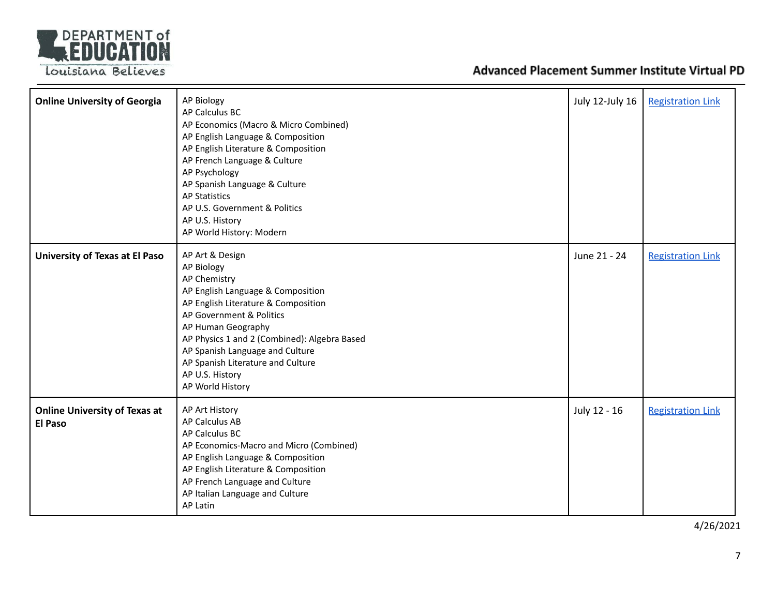

| <b>Online University of Georgia</b>                    | <b>AP Biology</b><br>AP Calculus BC<br>AP Economics (Macro & Micro Combined)<br>AP English Language & Composition<br>AP English Literature & Composition<br>AP French Language & Culture<br>AP Psychology<br>AP Spanish Language & Culture<br><b>AP Statistics</b><br>AP U.S. Government & Politics<br>AP U.S. History<br>AP World History: Modern | July 12-July 16 | <b>Registration Link</b> |
|--------------------------------------------------------|----------------------------------------------------------------------------------------------------------------------------------------------------------------------------------------------------------------------------------------------------------------------------------------------------------------------------------------------------|-----------------|--------------------------|
| University of Texas at El Paso                         | AP Art & Design<br>AP Biology<br>AP Chemistry<br>AP English Language & Composition<br>AP English Literature & Composition<br>AP Government & Politics<br>AP Human Geography<br>AP Physics 1 and 2 (Combined): Algebra Based<br>AP Spanish Language and Culture<br>AP Spanish Literature and Culture<br>AP U.S. History<br>AP World History         | June 21 - 24    | <b>Registration Link</b> |
| <b>Online University of Texas at</b><br><b>El Paso</b> | AP Art History<br>AP Calculus AB<br>AP Calculus BC<br>AP Economics-Macro and Micro (Combined)<br>AP English Language & Composition<br>AP English Literature & Composition<br>AP French Language and Culture<br>AP Italian Language and Culture<br><b>AP Latin</b>                                                                                  | July 12 - 16    | <b>Registration Link</b> |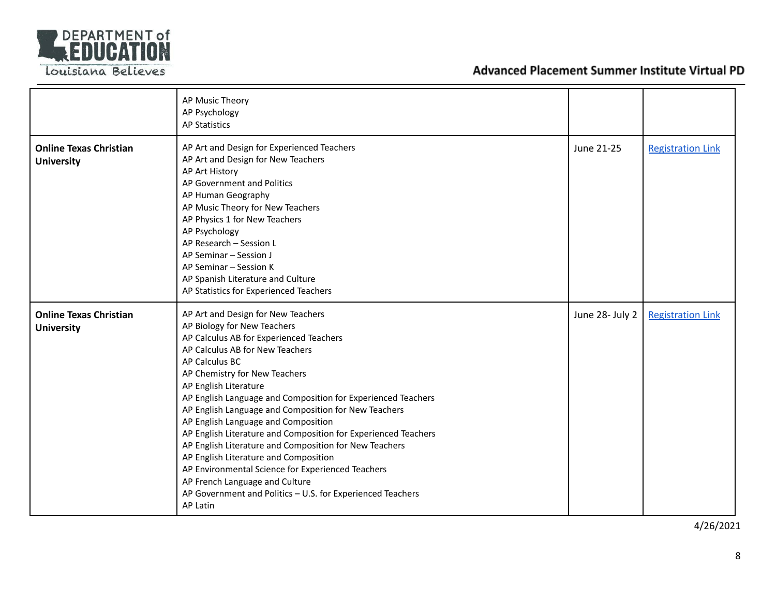

|                                                    | AP Music Theory<br>AP Psychology<br><b>AP Statistics</b>                                                                                                                                                                                                                                                                                                                                                                                                                                                                                                                                                                                                                                                                         |                 |                          |
|----------------------------------------------------|----------------------------------------------------------------------------------------------------------------------------------------------------------------------------------------------------------------------------------------------------------------------------------------------------------------------------------------------------------------------------------------------------------------------------------------------------------------------------------------------------------------------------------------------------------------------------------------------------------------------------------------------------------------------------------------------------------------------------------|-----------------|--------------------------|
| <b>Online Texas Christian</b><br><b>University</b> | AP Art and Design for Experienced Teachers<br>AP Art and Design for New Teachers<br>AP Art History<br>AP Government and Politics<br>AP Human Geography<br>AP Music Theory for New Teachers<br>AP Physics 1 for New Teachers<br>AP Psychology<br>AP Research - Session L<br>AP Seminar - Session J<br>AP Seminar - Session K<br>AP Spanish Literature and Culture<br>AP Statistics for Experienced Teachers                                                                                                                                                                                                                                                                                                                       | June 21-25      | <b>Registration Link</b> |
| <b>Online Texas Christian</b><br><b>University</b> | AP Art and Design for New Teachers<br>AP Biology for New Teachers<br>AP Calculus AB for Experienced Teachers<br>AP Calculus AB for New Teachers<br>AP Calculus BC<br>AP Chemistry for New Teachers<br>AP English Literature<br>AP English Language and Composition for Experienced Teachers<br>AP English Language and Composition for New Teachers<br>AP English Language and Composition<br>AP English Literature and Composition for Experienced Teachers<br>AP English Literature and Composition for New Teachers<br>AP English Literature and Composition<br>AP Environmental Science for Experienced Teachers<br>AP French Language and Culture<br>AP Government and Politics - U.S. for Experienced Teachers<br>AP Latin | June 28- July 2 | <b>Registration Link</b> |

4/26/2021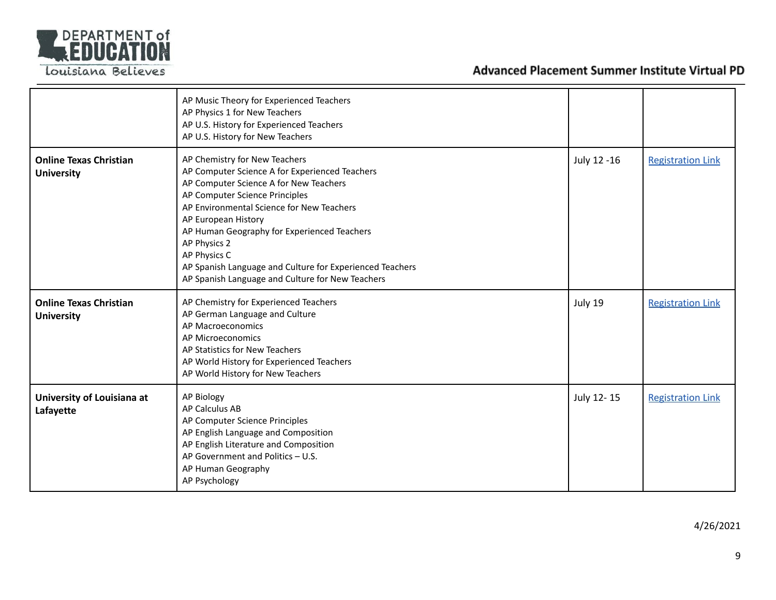

|                                                    | AP Music Theory for Experienced Teachers<br>AP Physics 1 for New Teachers<br>AP U.S. History for Experienced Teachers<br>AP U.S. History for New Teachers                                                                                                                                                                                                                                                                      |             |                          |
|----------------------------------------------------|--------------------------------------------------------------------------------------------------------------------------------------------------------------------------------------------------------------------------------------------------------------------------------------------------------------------------------------------------------------------------------------------------------------------------------|-------------|--------------------------|
| <b>Online Texas Christian</b><br><b>University</b> | AP Chemistry for New Teachers<br>AP Computer Science A for Experienced Teachers<br>AP Computer Science A for New Teachers<br>AP Computer Science Principles<br>AP Environmental Science for New Teachers<br>AP European History<br>AP Human Geography for Experienced Teachers<br>AP Physics 2<br>AP Physics C<br>AP Spanish Language and Culture for Experienced Teachers<br>AP Spanish Language and Culture for New Teachers | July 12 -16 | <b>Registration Link</b> |
| <b>Online Texas Christian</b><br><b>University</b> | AP Chemistry for Experienced Teachers<br>AP German Language and Culture<br>AP Macroeconomics<br>AP Microeconomics<br>AP Statistics for New Teachers<br>AP World History for Experienced Teachers<br>AP World History for New Teachers                                                                                                                                                                                          | July 19     | <b>Registration Link</b> |
| University of Louisiana at<br>Lafayette            | <b>AP Biology</b><br><b>AP Calculus AB</b><br>AP Computer Science Principles<br>AP English Language and Composition<br>AP English Literature and Composition<br>AP Government and Politics - U.S.<br>AP Human Geography<br>AP Psychology                                                                                                                                                                                       | July 12-15  | <b>Registration Link</b> |